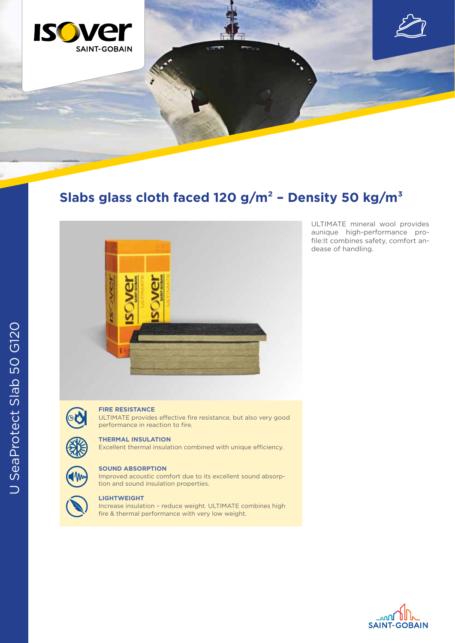

## **Slabs glass cloth faced 120 g/m² – Density 50 kg/m³**



ULTIMATE mineral wool provides aunique high-performance profile:It combines safety, comfort andease of handling.

# OU

#### **FIRE RESISTANCE**

ULTIMATE provides effective fire resistance, but also very good performance in reaction to fire.

#### **THERMAL INSULATION**

Excellent thermal insulation combined with unique efficiency.



#### **SOUND ABSORPTION**

Improved acoustic comfort due to its excellent sound absorption and sound insulation properties.

### **LIGHTWEIGHT**

Increase insulation – reduce weight. ULTIMATE combines high fire & thermal performance with very low weight.